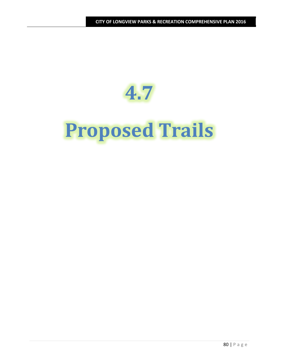# **4.7 Proposed Trails**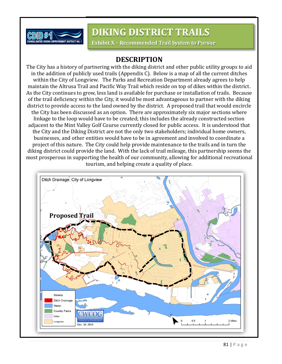

# **DIKING DISTRICT TRAILS**

**Exhibit X – Recommended Trail System to Pursue**

**CITY OF LONGVIEW PARKS & RECREATION COMPREHENSIVE PLAN 2016**

## **DESCRIPTION**

The City has a history of partnering with the diking district and other public utility groups to aid in the addition of publicly used trails (Appendix C). Below is a map of all the current ditches within the City of Longview. The Parks and Recreation Department already agrees to help maintain the Altrusa Trail and Pacific Way Trail which reside on top of dikes within the district. As the City continues to grow, less land is available for purchase or installation of trails. Because of the trail deficiency within the City, it would be most advantageous to partner with the diking district to provide access to the land owned by the district. A proposed trail that would encircle the City has been discussed as an option. There are approximately six major sections where linkage to the loop would have to be created; this includes the already constructed section adjacent to the Mint Valley Golf Course currently closed for public access. It is understood that the City and the Diking District are not the only two stakeholders; individual home owners, businesses, and other entities would have to be in agreement and involved to coordinate a project of this nature. The City could help provide maintenance to the trails and in turn the diking district could provide the land. With the lack of trail mileage, this partnership seems the most prosperous in supporting the health of our community, allowing for additional recreational tourism, and helping create a quality of place.